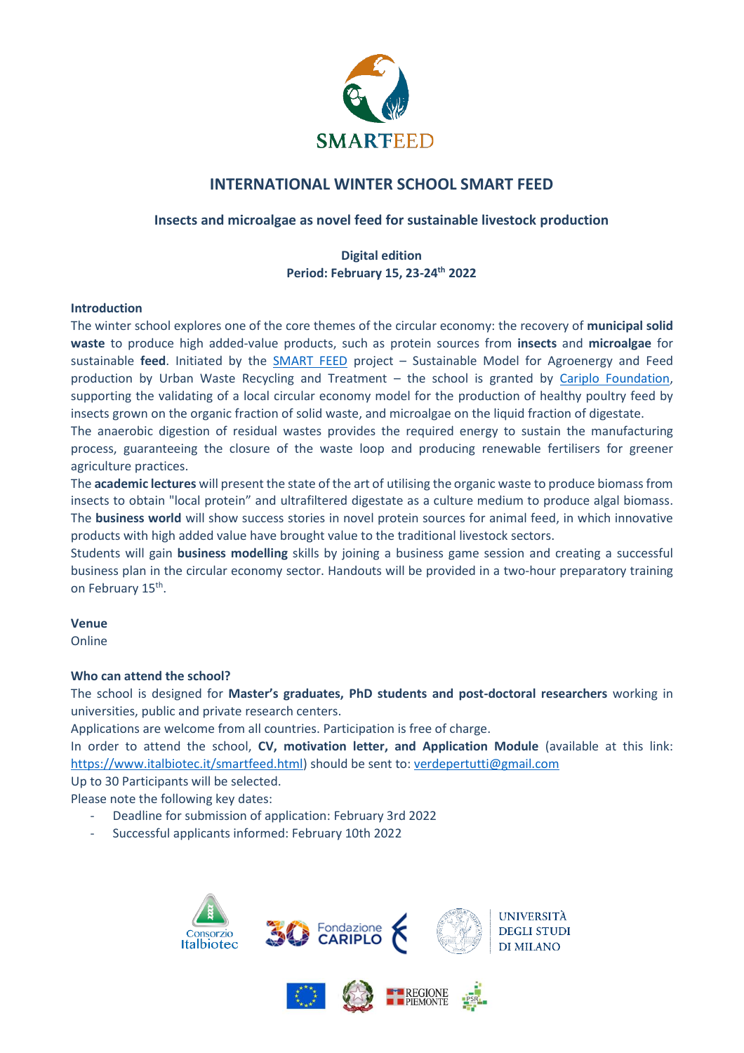

## **INTERNATIONAL WINTER SCHOOL SMART FEED**

### **Insects and microalgae as novel feed for sustainable livestock production**

### **Digital edition Period: February 15, 23-24th 2022**

#### **Introduction**

The winter school explores one of the core themes of the circular economy: the recovery of **municipal solid waste** to produce high added-value products, such as protein sources from **insects** and **microalgae** for sustainable **feed**. Initiated by the [SMART](https://www.italbiotec.it/smartfeed.html) FEED project – Sustainable Model for Agroenergy and Feed production by Urban Waste Recycling and Treatment - the school is granted by [Cariplo Foundation,](https://www.fondazionecariplo.it/it/index.html) supporting the validating of a local circular economy model for the production of healthy poultry feed by insects grown on the organic fraction of solid waste, and microalgae on the liquid fraction of digestate.

The anaerobic digestion of residual wastes provides the required energy to sustain the manufacturing process, guaranteeing the closure of the waste loop and producing renewable fertilisers for greener agriculture practices.

The **academic lectures** will present the state of the art of utilising the organic waste to produce biomass from insects to obtain "local protein" and ultrafiltered digestate as a culture medium to produce algal biomass. The **business world** will show success stories in novel protein sources for animal feed, in which innovative products with high added value have brought value to the traditional livestock sectors.

Students will gain **business modelling** skills by joining a business game session and creating a successful business plan in the circular economy sector. Handouts will be provided in a two-hour preparatory training on February 15<sup>th</sup>.

#### **Venue**

Online

#### **Who can attend the school?**

The school is designed for **Master's graduates, PhD students and post-doctoral researchers** working in universities, public and private research centers.

Applications are welcome from all countries. Participation is free of charge.

In order to attend the school, **CV, motivation letter, and Application Module** (available at this link: [https://www.italbiotec.it/smartfeed.html\)](https://www.italbiotec.it/smartfeed.html) should be sent to: [verdepertutti@gmail.com](mailto:verdepertutti@gmail.com)

Up to 30 Participants will be selected.

Please note the following key dates:

- Deadline for submission of application: February 3rd 2022
- Successful applicants informed: February 10th 2022



**EXPLANED REGIONE**